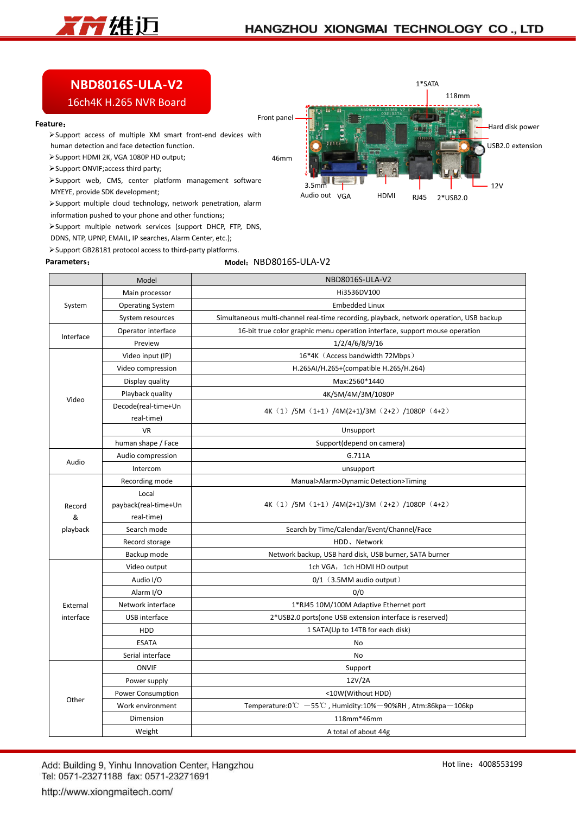

1\*SATA

VGA 2\*USB2.0 RJ45

118mm

12V

Hard disk power USB2.0 extension

HDMI

 $3.5 \text{mm}$   $\blacksquare$ 

Audio out VGA

## **NBD8016S-ULA-V2**

## 16ch4K H.265 NVR Board

## **Feature**:

Support access of multiple XM smart front-end devices with human detection and face detection function.

Support HDMI 2K, VGA 1080P HD output;

Support ONVIF;access third party;

 $\triangleright$  Support web, CMS, center platform management software  $\frac{1}{3.5}$ 

MYEYE, provide SDK development;

Support multiple cloud technology, network penetration, alarm

information pushed to your phone and other functions;

Support multiple network services (support DHCP, FTP, DNS,

DDNS, NTP, UPNP, EMAIL, IP searches, Alarm Center, etc.); Support GB28181 protocol access to third-party platforms.

**Parameters**:

## **Model**:NBD8016S-ULA-V2

46mm

Front panel

|                       | Model                   | NBD8016S-ULA-V2                                                                         |  |  |  |
|-----------------------|-------------------------|-----------------------------------------------------------------------------------------|--|--|--|
|                       | Main processor          | Hi3536DV100                                                                             |  |  |  |
| System                | <b>Operating System</b> | <b>Embedded Linux</b>                                                                   |  |  |  |
|                       | System resources        | Simultaneous multi-channel real-time recording, playback, network operation, USB backup |  |  |  |
| Interface             | Operator interface      | 16-bit true color graphic menu operation interface, support mouse operation             |  |  |  |
|                       | Preview                 | 1/2/4/6/8/9/16                                                                          |  |  |  |
|                       | Video input (IP)        | 16*4K (Access bandwidth 72Mbps)                                                         |  |  |  |
|                       | Video compression       | H.265AI/H.265+(compatible H.265/H.264)                                                  |  |  |  |
|                       | Display quality         | Max:2560*1440                                                                           |  |  |  |
| Video                 | Playback quality        | 4K/5M/4M/3M/1080P                                                                       |  |  |  |
|                       | Decode(real-time+Un     | 4K $(1)$ /5M $(1+1)$ /4M(2+1)/3M $(2+2)$ /1080P $(4+2)$                                 |  |  |  |
|                       | real-time)              |                                                                                         |  |  |  |
|                       | <b>VR</b>               | Unsupport                                                                               |  |  |  |
|                       | human shape / Face      | Support(depend on camera)                                                               |  |  |  |
| Audio                 | Audio compression       | G.711A                                                                                  |  |  |  |
|                       | Intercom                | unsupport                                                                               |  |  |  |
|                       | Recording mode          | Manual>Alarm>Dynamic Detection>Timing                                                   |  |  |  |
|                       | Local                   |                                                                                         |  |  |  |
| Record                | payback(real-time+Un    | 4K (1) /5M (1+1) /4M(2+1)/3M (2+2) /1080P (4+2)                                         |  |  |  |
| &                     | real-time)              |                                                                                         |  |  |  |
| playback              | Search mode             | Search by Time/Calendar/Event/Channel/Face                                              |  |  |  |
|                       | Record storage          | HDD、Network                                                                             |  |  |  |
|                       | Backup mode             | Network backup, USB hard disk, USB burner, SATA burner                                  |  |  |  |
| External<br>interface | Video output            | 1ch VGA, 1ch HDMI HD output                                                             |  |  |  |
|                       | Audio I/O               | $0/1$ (3.5MM audio output)                                                              |  |  |  |
|                       | Alarm I/O               | 0/0                                                                                     |  |  |  |
|                       | Network interface       | 1*RJ45 10M/100M Adaptive Ethernet port                                                  |  |  |  |
|                       | USB interface           | 2*USB2.0 ports (one USB extension interface is reserved)                                |  |  |  |
|                       | HDD                     | 1 SATA(Up to 14TB for each disk)                                                        |  |  |  |
|                       | <b>ESATA</b>            | No                                                                                      |  |  |  |
|                       | Serial interface        | No                                                                                      |  |  |  |
|                       | <b>ONVIF</b>            | Support                                                                                 |  |  |  |
| Other                 | Power supply            | 12V/2A                                                                                  |  |  |  |
|                       | Power Consumption       | <10W(Without HDD)                                                                       |  |  |  |
|                       | Work environment        | Temperature:0℃ -55℃, Humidity:10%-90%RH, Atm:86kpa-106kp                                |  |  |  |
|                       | Dimension               | 118mm*46mm                                                                              |  |  |  |
|                       | Weight                  | A total of about 44g                                                                    |  |  |  |

Add: Building 9, Yinhu Innovation Center, Hangzhou Tel: 0571-23271188 fax: 0571-23271691